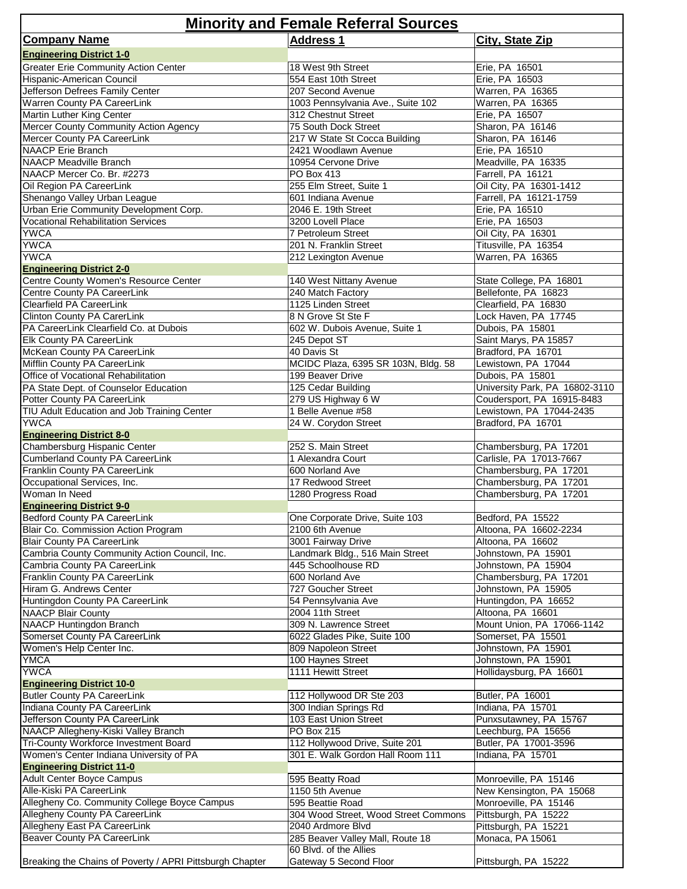| <b>Minority and Female Referral Sources</b>                     |                                         |                                            |  |
|-----------------------------------------------------------------|-----------------------------------------|--------------------------------------------|--|
| <b>Company Name</b>                                             | <b>Address 1</b>                        | City, State Zip                            |  |
| <b>Engineering District 1-0</b>                                 |                                         |                                            |  |
| <b>Greater Erie Community Action Center</b>                     | 18 West 9th Street                      | Erie, PA 16501                             |  |
| Hispanic-American Council                                       | 554 East 10th Street                    | Erie, PA 16503                             |  |
| Jefferson Defrees Family Center                                 | 207 Second Avenue                       | Warren, PA 16365                           |  |
| Warren County PA CareerLink                                     | 1003 Pennsylvania Ave., Suite 102       | Warren, PA 16365                           |  |
| Martin Luther King Center                                       | 312 Chestnut Street                     | Erie, PA 16507                             |  |
| Mercer County Community Action Agency                           | 75 South Dock Street                    | Sharon, PA 16146                           |  |
| Mercer County PA CareerLink                                     | 217 W State St Cocca Building           | Sharon, PA 16146                           |  |
| <b>NAACP</b> Erie Branch                                        | 2421 Woodlawn Avenue                    | Erie, PA 16510                             |  |
| <b>NAACP Meadville Branch</b>                                   | 10954 Cervone Drive                     | Meadville, PA 16335                        |  |
| NAACP Mercer Co. Br. #2273                                      | PO Box 413                              | Farrell, PA 16121                          |  |
| Oil Region PA CareerLink                                        | 255 Elm Street, Suite 1                 | Oil City, PA 16301-1412                    |  |
| Shenango Valley Urban League                                    | 601 Indiana Avenue                      | Farrell, PA 16121-1759                     |  |
| Urban Erie Community Development Corp.                          | 2046 E. 19th Street                     | Erie, PA 16510                             |  |
| <b>Vocational Rehabilitation Services</b>                       | 3200 Lovell Place                       | Erie, PA 16503                             |  |
| <b>YWCA</b><br><b>YWCA</b>                                      | 7 Petroleum Street                      | Oil City, PA 16301<br>Titusville, PA 16354 |  |
| <b>YWCA</b>                                                     | 201 N. Franklin Street                  | Warren, PA 16365                           |  |
| <b>Engineering District 2-0</b>                                 | 212 Lexington Avenue                    |                                            |  |
| Centre County Women's Resource Center                           | 140 West Nittany Avenue                 | State College, PA 16801                    |  |
| Centre County PA CareerLink                                     | 240 Match Factory                       | Bellefonte, PA 16823                       |  |
| Clearfield PA CareerLink                                        | 1125 Linden Street                      | Clearfield, PA 16830                       |  |
| <b>Clinton County PA CarerLink</b>                              | 8 N Grove St Ste F                      | Lock Haven, PA 17745                       |  |
| PA CareerLink Clearfield Co. at Dubois                          | 602 W. Dubois Avenue, Suite 1           | Dubois, PA 15801                           |  |
| <b>Elk County PA CareerLink</b>                                 | 245 Depot ST                            | Saint Marys, PA 15857                      |  |
| McKean County PA CareerLink                                     | 40 Davis St                             | Bradford, PA 16701                         |  |
| Mifflin County PA CareerLink                                    | MCIDC Plaza, 6395 SR 103N, Bldg. 58     | Lewistown, PA 17044                        |  |
| Office of Vocational Rehabilitation                             | 199 Beaver Drive                        | Dubois, PA 15801                           |  |
| PA State Dept. of Counselor Education                           | 125 Cedar Building                      | University Park, PA 16802-3110             |  |
| Potter County PA CareerLink                                     | 279 US Highway 6 W                      | Coudersport, PA 16915-8483                 |  |
| TIU Adult Education and Job Training Center                     | 1 Belle Avenue #58                      | Lewistown, PA 17044-2435                   |  |
| <b>YWCA</b>                                                     | 24 W. Corydon Street                    | Bradford, PA 16701                         |  |
| <b>Engineering District 8-0</b>                                 |                                         |                                            |  |
| Chambersburg Hispanic Center                                    | 252 S. Main Street                      | Chambersburg, PA 17201                     |  |
| <b>Cumberland County PA CareerLink</b>                          | 1 Alexandra Court                       | Carlisle, PA 17013-7667                    |  |
| Franklin County PA CareerLink                                   | 600 Norland Ave                         | Chambersburg, PA 17201                     |  |
| Occupational Services, Inc.                                     | 17 Redwood Street                       | Chambersburg, PA 17201                     |  |
| Woman In Need                                                   | 1280 Progress Road                      | Chambersburg, PA 17201                     |  |
| <b>Engineering District 9-0</b>                                 |                                         |                                            |  |
| <b>Bedford County PA CareerLink</b>                             | One Corporate Drive, Suite 103          | Bedford, PA 15522                          |  |
| Blair Co. Commission Action Program                             | 2100 6th Avenue                         | Altoona, PA 16602-2234                     |  |
| <b>Blair County PA CareerLink</b>                               | 3001 Fairway Drive                      | Altoona, PA 16602                          |  |
| Cambria County Community Action Council, Inc.                   | Landmark Bldg., 516 Main Street         | Johnstown, PA 15901                        |  |
| Cambria County PA CareerLink                                    | 445 Schoolhouse RD                      | Johnstown, PA 15904                        |  |
| Franklin County PA CareerLink                                   | 600 Norland Ave                         | Chambersburg, PA 17201                     |  |
| Hiram G. Andrews Center                                         | 727 Goucher Street                      | Johnstown, PA 15905                        |  |
| Huntingdon County PA CareerLink                                 | 54 Pennsylvania Ave                     | Huntingdon, PA 16652                       |  |
| <b>NAACP Blair County</b>                                       | 2004 11th Street                        | Altoona, PA 16601                          |  |
| <b>NAACP Huntingdon Branch</b><br>Somerset County PA CareerLink | 309 N. Lawrence Street                  | Mount Union, PA 17066-1142                 |  |
| Women's Help Center Inc.                                        | 6022 Glades Pike, Suite 100             | Somerset, PA 15501                         |  |
| <b>YMCA</b>                                                     | 809 Napoleon Street                     | Johnstown, PA 15901<br>Johnstown, PA 15901 |  |
| <b>YWCA</b>                                                     | 100 Haynes Street<br>1111 Hewitt Street | Hollidaysburg, PA 16601                    |  |
| <b>Engineering District 10-0</b>                                |                                         |                                            |  |
| <b>Butler County PA CareerLink</b>                              | 112 Hollywood DR Ste 203                | Butler, PA 16001                           |  |
| Indiana County PA CareerLink                                    | 300 Indian Springs Rd                   | Indiana, PA 15701                          |  |
| Jefferson County PA CareerLink                                  | 103 East Union Street                   | Punxsutawney, PA 15767                     |  |
| NAACP Allegheny-Kiski Valley Branch                             | PO Box 215                              | Leechburg, PA 15656                        |  |
| Tri-County Workforce Investment Board                           | 112 Hollywood Drive, Suite 201          | Butler, PA 17001-3596                      |  |
| Women's Center Indiana University of PA                         | 301 E. Walk Gordon Hall Room 111        | Indiana, PA 15701                          |  |
| <b>Engineering District 11-0</b>                                |                                         |                                            |  |
| Adult Center Boyce Campus                                       | 595 Beatty Road                         | Monroeville, PA 15146                      |  |
| Alle-Kiski PA CareerLink                                        | 1150 5th Avenue                         | New Kensington, PA 15068                   |  |
| Allegheny Co. Community College Boyce Campus                    | 595 Beattie Road                        | Monroeville, PA 15146                      |  |
| Allegheny County PA CareerLink                                  | 304 Wood Street, Wood Street Commons    | Pittsburgh, PA 15222                       |  |
| Allegheny East PA CareerLink                                    | 2040 Ardmore Blvd                       | Pittsburgh, PA 15221                       |  |
| Beaver County PA CareerLink                                     | 285 Beaver Valley Mall, Route 18        | Monaca, PA 15061                           |  |
|                                                                 | 60 Blvd. of the Allies                  |                                            |  |
| Breaking the Chains of Poverty / APRI Pittsburgh Chapter        | Gateway 5 Second Floor                  | Pittsburgh, PA 15222                       |  |